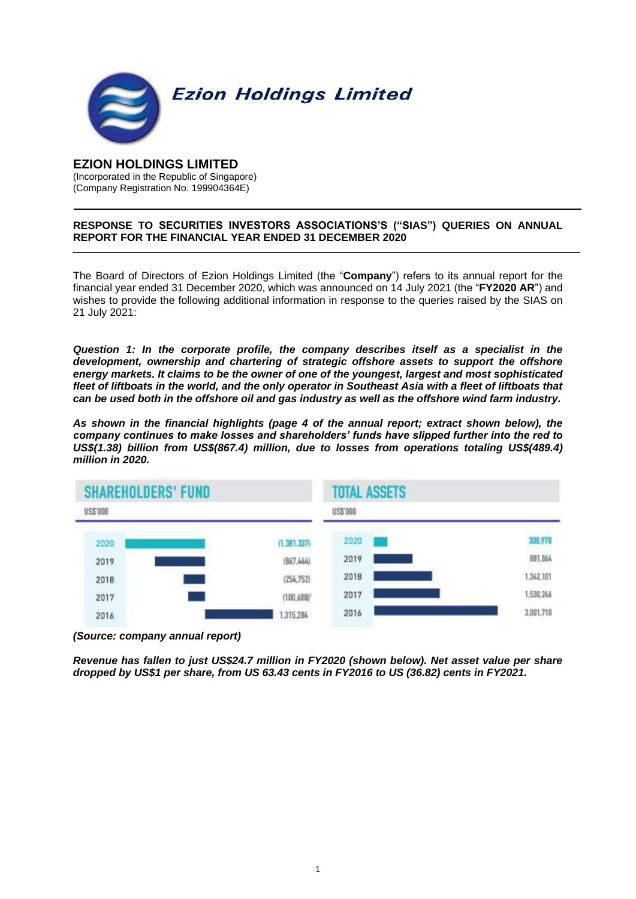

# **EZION HOLDINGS LIMITED**

(Incorporated in the Republic of Singapore) (Company Registration No. 199904364E)

# **RESPONSE TO SECURITIES INVESTORS ASSOCIATIONS'S ("SIAS") QUERIES ON ANNUAL REPORT FOR THE FINANCIAL YEAR ENDED 31 DECEMBER 2020**

The Board of Directors of Ezion Holdings Limited (the "**Company**") refers to its annual report for the financial year ended 31 December 2020, which was announced on 14 July 2021 (the "**FY2020 AR**") and wishes to provide the following additional information in response to the queries raised by the SIAS on 21 July 2021:

*Question 1: In the corporate profile, the company describes itself as a specialist in the development, ownership and chartering of strategic offshore assets to support the offshore energy markets. It claims to be the owner of one of the youngest, largest and most sophisticated fleet of liftboats in the world, and the only operator in Southeast Asia with a fleet of liftboats that can be used both in the offshore oil and gas industry as well as the offshore wind farm industry.*

*As shown in the financial highlights (page 4 of the annual report; extract shown below), the company continues to make losses and shareholders' funds have slipped further into the red to US\$(1.38) billion from US\$(867.4) million, due to losses from operations totaling US\$(489.4) million in 2020.*



*<sup>(</sup>Source: company annual report)*

*Revenue has fallen to just US\$24.7 million in FY2020 (shown below). Net asset value per share dropped by US\$1 per share, from US 63.43 cents in FY2016 to US (36.82) cents in FY2021.*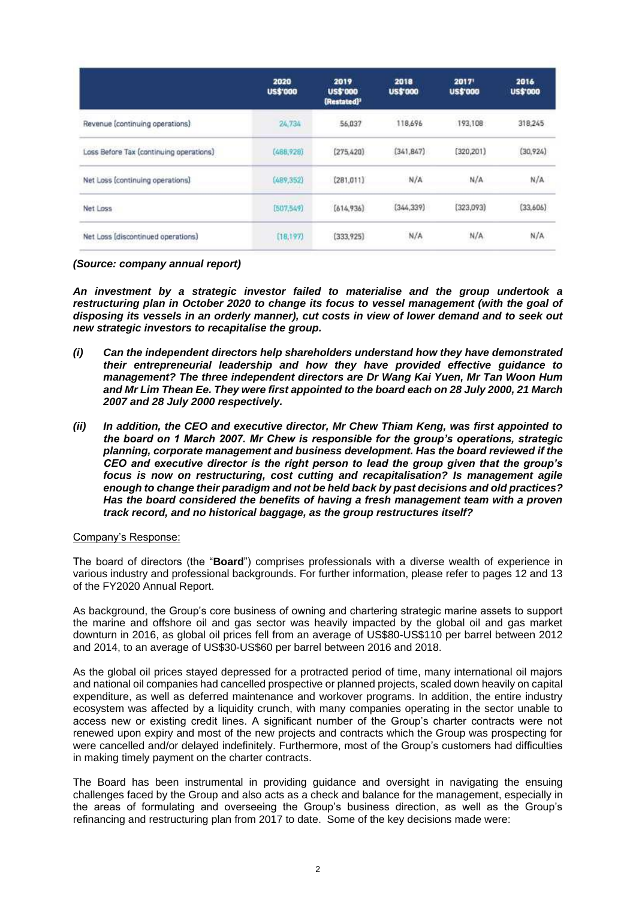|                                         | 2020<br>US\$'000 | 2019<br><b>US\$'000</b><br>(Restated) <sup>2</sup> | 2018<br><b>US\$'000</b> | 2017'<br><b>US\$'000</b> | 2016<br><b>US\$'000</b> |
|-----------------------------------------|------------------|----------------------------------------------------|-------------------------|--------------------------|-------------------------|
| Revenue (continuing operations)         | 24,734           | 56,037                                             | 118,696                 | 193,108                  | 318,245                 |
| Loss Before Tax (continuing operations) | (488.920)        | [275, 420]                                         | (341, 847)              | (320, 201)               | (30,924)                |
| Net Loss (continuing operations)        | (489, 352)       | (281, 011)                                         | N/A                     | N/A                      | N/A                     |
| Net Loss                                | [507,549]        | as an manivo<br>[614, 936]                         | (323,093)<br>(344, 339) |                          | (33,606)                |
| Net Loss [discontinued operations]      | (18, 197)        | [333, 925]                                         | N/A                     | N/A                      | N/A                     |

*(Source: company annual report)*

*An investment by a strategic investor failed to materialise and the group undertook a restructuring plan in October 2020 to change its focus to vessel management (with the goal of disposing its vessels in an orderly manner), cut costs in view of lower demand and to seek out new strategic investors to recapitalise the group.*

- *(i) Can the independent directors help shareholders understand how they have demonstrated their entrepreneurial leadership and how they have provided effective guidance to management? The three independent directors are Dr Wang Kai Yuen, Mr Tan Woon Hum and Mr Lim Thean Ee. They were first appointed to the board each on 28 July 2000, 21 March 2007 and 28 July 2000 respectively.*
- *(ii) In addition, the CEO and executive director, Mr Chew Thiam Keng, was first appointed to the board on 1 March 2007. Mr Chew is responsible for the group's operations, strategic planning, corporate management and business development. Has the board reviewed if the CEO and executive director is the right person to lead the group given that the group's focus is now on restructuring, cost cutting and recapitalisation? Is management agile enough to change their paradigm and not be held back by past decisions and old practices? Has the board considered the benefits of having a fresh management team with a proven track record, and no historical baggage, as the group restructures itself?*

## Company's Response:

The board of directors (the "**Board**") comprises professionals with a diverse wealth of experience in various industry and professional backgrounds. For further information, please refer to pages 12 and 13 of the FY2020 Annual Report.

As background, the Group's core business of owning and chartering strategic marine assets to support the marine and offshore oil and gas sector was heavily impacted by the global oil and gas market downturn in 2016, as global oil prices fell from an average of US\$80-US\$110 per barrel between 2012 and 2014, to an average of US\$30-US\$60 per barrel between 2016 and 2018.

As the global oil prices stayed depressed for a protracted period of time, many international oil majors and national oil companies had cancelled prospective or planned projects, scaled down heavily on capital expenditure, as well as deferred maintenance and workover programs. In addition, the entire industry ecosystem was affected by a liquidity crunch, with many companies operating in the sector unable to access new or existing credit lines. A significant number of the Group's charter contracts were not renewed upon expiry and most of the new projects and contracts which the Group was prospecting for were cancelled and/or delayed indefinitely. Furthermore, most of the Group's customers had difficulties in making timely payment on the charter contracts.

The Board has been instrumental in providing guidance and oversight in navigating the ensuing challenges faced by the Group and also acts as a check and balance for the management, especially in the areas of formulating and overseeing the Group's business direction, as well as the Group's refinancing and restructuring plan from 2017 to date. Some of the key decisions made were: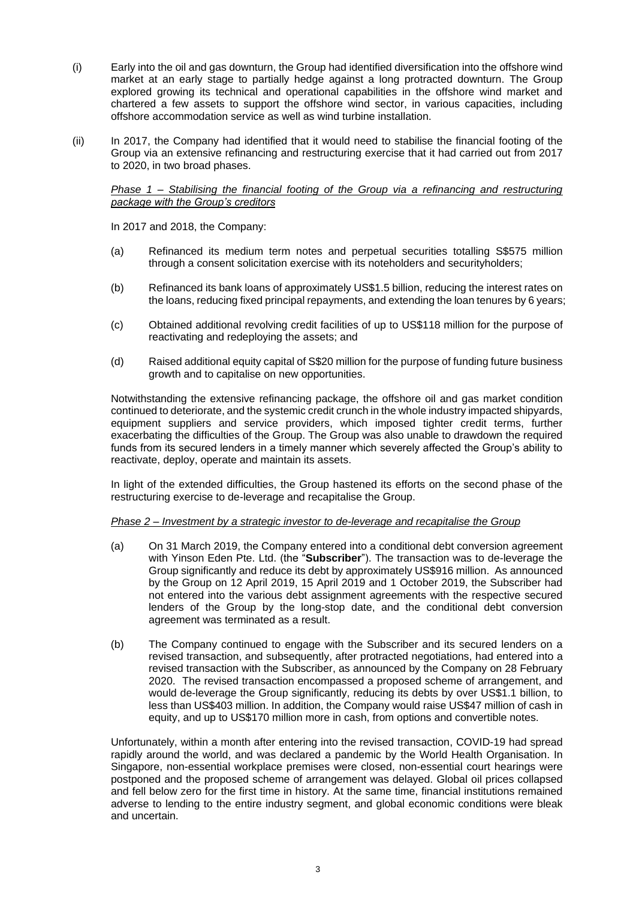- (i) Early into the oil and gas downturn, the Group had identified diversification into the offshore wind market at an early stage to partially hedge against a long protracted downturn. The Group explored growing its technical and operational capabilities in the offshore wind market and chartered a few assets to support the offshore wind sector, in various capacities, including offshore accommodation service as well as wind turbine installation.
- (ii) In 2017, the Company had identified that it would need to stabilise the financial footing of the Group via an extensive refinancing and restructuring exercise that it had carried out from 2017 to 2020, in two broad phases.

#### *Phase 1 – Stabilising the financial footing of the Group via a refinancing and restructuring package with the Group's creditors*

In 2017 and 2018, the Company:

- (a) Refinanced its medium term notes and perpetual securities totalling S\$575 million through a consent solicitation exercise with its noteholders and securityholders;
- (b) Refinanced its bank loans of approximately US\$1.5 billion, reducing the interest rates on the loans, reducing fixed principal repayments, and extending the loan tenures by 6 years;
- (c) Obtained additional revolving credit facilities of up to US\$118 million for the purpose of reactivating and redeploying the assets; and
- (d) Raised additional equity capital of S\$20 million for the purpose of funding future business growth and to capitalise on new opportunities.

Notwithstanding the extensive refinancing package, the offshore oil and gas market condition continued to deteriorate, and the systemic credit crunch in the whole industry impacted shipyards, equipment suppliers and service providers, which imposed tighter credit terms, further exacerbating the difficulties of the Group. The Group was also unable to drawdown the required funds from its secured lenders in a timely manner which severely affected the Group's ability to reactivate, deploy, operate and maintain its assets.

In light of the extended difficulties, the Group hastened its efforts on the second phase of the restructuring exercise to de-leverage and recapitalise the Group.

## *Phase 2 – Investment by a strategic investor to de-leverage and recapitalise the Group*

- (a) On 31 March 2019, the Company entered into a conditional debt conversion agreement with Yinson Eden Pte. Ltd. (the "**Subscriber**"). The transaction was to de-leverage the Group significantly and reduce its debt by approximately US\$916 million. As announced by the Group on 12 April 2019, 15 April 2019 and 1 October 2019, the Subscriber had not entered into the various debt assignment agreements with the respective secured lenders of the Group by the long-stop date, and the conditional debt conversion agreement was terminated as a result.
- (b) The Company continued to engage with the Subscriber and its secured lenders on a revised transaction, and subsequently, after protracted negotiations, had entered into a revised transaction with the Subscriber, as announced by the Company on 28 February 2020. The revised transaction encompassed a proposed scheme of arrangement, and would de-leverage the Group significantly, reducing its debts by over US\$1.1 billion, to less than US\$403 million. In addition, the Company would raise US\$47 million of cash in equity, and up to US\$170 million more in cash, from options and convertible notes.

Unfortunately, within a month after entering into the revised transaction, COVID-19 had spread rapidly around the world, and was declared a pandemic by the World Health Organisation. In Singapore, non-essential workplace premises were closed, non-essential court hearings were postponed and the proposed scheme of arrangement was delayed. Global oil prices collapsed and fell below zero for the first time in history. At the same time, financial institutions remained adverse to lending to the entire industry segment, and global economic conditions were bleak and uncertain.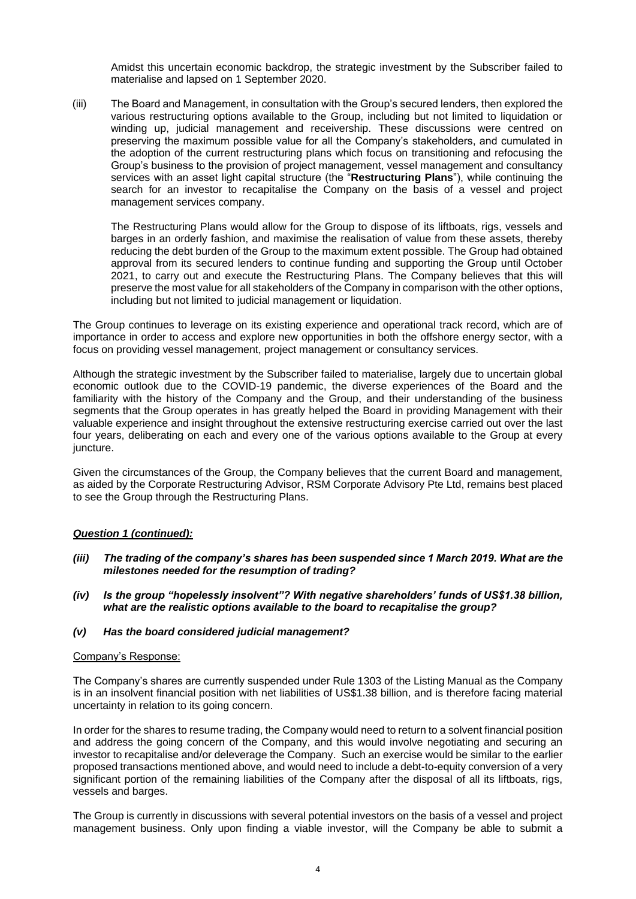Amidst this uncertain economic backdrop, the strategic investment by the Subscriber failed to materialise and lapsed on 1 September 2020.

(iii) The Board and Management, in consultation with the Group's secured lenders, then explored the various restructuring options available to the Group, including but not limited to liquidation or winding up, judicial management and receivership. These discussions were centred on preserving the maximum possible value for all the Company's stakeholders, and cumulated in the adoption of the current restructuring plans which focus on transitioning and refocusing the Group's business to the provision of project management, vessel management and consultancy services with an asset light capital structure (the "**Restructuring Plans**"), while continuing the search for an investor to recapitalise the Company on the basis of a vessel and project management services company.

The Restructuring Plans would allow for the Group to dispose of its liftboats, rigs, vessels and barges in an orderly fashion, and maximise the realisation of value from these assets, thereby reducing the debt burden of the Group to the maximum extent possible. The Group had obtained approval from its secured lenders to continue funding and supporting the Group until October 2021, to carry out and execute the Restructuring Plans. The Company believes that this will preserve the most value for all stakeholders of the Company in comparison with the other options, including but not limited to judicial management or liquidation.

The Group continues to leverage on its existing experience and operational track record, which are of importance in order to access and explore new opportunities in both the offshore energy sector, with a focus on providing vessel management, project management or consultancy services.

Although the strategic investment by the Subscriber failed to materialise, largely due to uncertain global economic outlook due to the COVID-19 pandemic, the diverse experiences of the Board and the familiarity with the history of the Company and the Group, and their understanding of the business segments that the Group operates in has greatly helped the Board in providing Management with their valuable experience and insight throughout the extensive restructuring exercise carried out over the last four years, deliberating on each and every one of the various options available to the Group at every juncture.

Given the circumstances of the Group, the Company believes that the current Board and management, as aided by the Corporate Restructuring Advisor, RSM Corporate Advisory Pte Ltd, remains best placed to see the Group through the Restructuring Plans.

## *Question 1 (continued):*

- *(iii) The trading of the company's shares has been suspended since 1 March 2019. What are the milestones needed for the resumption of trading?*
- *(iv) Is the group "hopelessly insolvent"? With negative shareholders' funds of US\$1.38 billion, what are the realistic options available to the board to recapitalise the group?*
- *(v) Has the board considered judicial management?*

#### Company's Response:

The Company's shares are currently suspended under Rule 1303 of the Listing Manual as the Company is in an insolvent financial position with net liabilities of US\$1.38 billion, and is therefore facing material uncertainty in relation to its going concern.

In order for the shares to resume trading, the Company would need to return to a solvent financial position and address the going concern of the Company, and this would involve negotiating and securing an investor to recapitalise and/or deleverage the Company. Such an exercise would be similar to the earlier proposed transactions mentioned above, and would need to include a debt-to-equity conversion of a very significant portion of the remaining liabilities of the Company after the disposal of all its liftboats, rigs, vessels and barges.

The Group is currently in discussions with several potential investors on the basis of a vessel and project management business. Only upon finding a viable investor, will the Company be able to submit a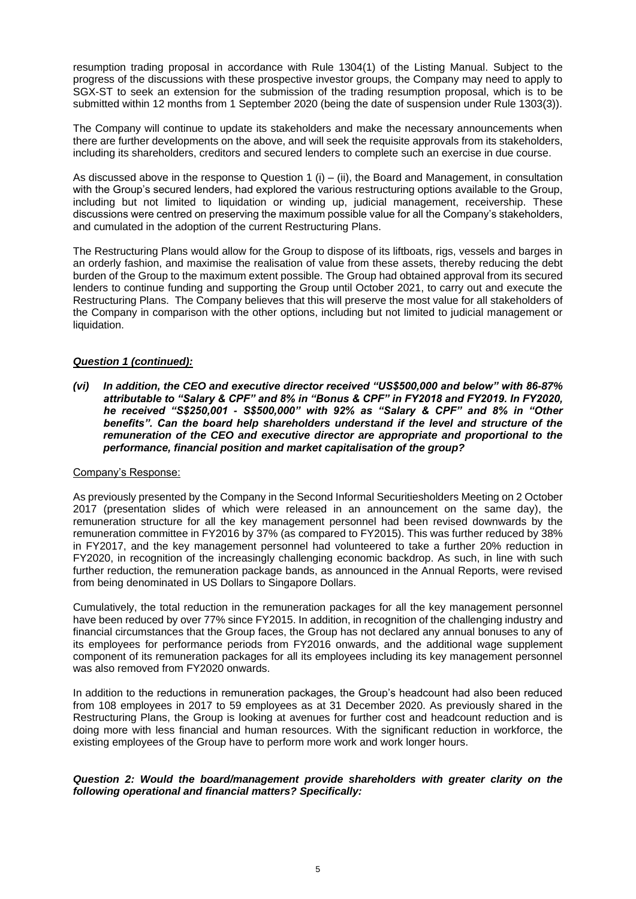resumption trading proposal in accordance with Rule 1304(1) of the Listing Manual. Subject to the progress of the discussions with these prospective investor groups, the Company may need to apply to SGX-ST to seek an extension for the submission of the trading resumption proposal, which is to be submitted within 12 months from 1 September 2020 (being the date of suspension under Rule 1303(3)).

The Company will continue to update its stakeholders and make the necessary announcements when there are further developments on the above, and will seek the requisite approvals from its stakeholders, including its shareholders, creditors and secured lenders to complete such an exercise in due course.

As discussed above in the response to Question 1 (i) – (ii), the Board and Management, in consultation with the Group's secured lenders, had explored the various restructuring options available to the Group, including but not limited to liquidation or winding up, judicial management, receivership. These discussions were centred on preserving the maximum possible value for all the Company's stakeholders, and cumulated in the adoption of the current Restructuring Plans.

The Restructuring Plans would allow for the Group to dispose of its liftboats, rigs, vessels and barges in an orderly fashion, and maximise the realisation of value from these assets, thereby reducing the debt burden of the Group to the maximum extent possible. The Group had obtained approval from its secured lenders to continue funding and supporting the Group until October 2021, to carry out and execute the Restructuring Plans. The Company believes that this will preserve the most value for all stakeholders of the Company in comparison with the other options, including but not limited to judicial management or liquidation.

## *Question 1 (continued):*

*(vi) In addition, the CEO and executive director received "US\$500,000 and below" with 86-87% attributable to "Salary & CPF" and 8% in "Bonus & CPF" in FY2018 and FY2019. In FY2020, he received "S\$250,001 - S\$500,000" with 92% as "Salary & CPF" and 8% in "Other benefits". Can the board help shareholders understand if the level and structure of the remuneration of the CEO and executive director are appropriate and proportional to the performance, financial position and market capitalisation of the group?*

### Company's Response:

As previously presented by the Company in the Second Informal Securitiesholders Meeting on 2 October 2017 (presentation slides of which were released in an announcement on the same day), the remuneration structure for all the key management personnel had been revised downwards by the remuneration committee in FY2016 by 37% (as compared to FY2015). This was further reduced by 38% in FY2017, and the key management personnel had volunteered to take a further 20% reduction in FY2020, in recognition of the increasingly challenging economic backdrop. As such, in line with such further reduction, the remuneration package bands, as announced in the Annual Reports, were revised from being denominated in US Dollars to Singapore Dollars.

Cumulatively, the total reduction in the remuneration packages for all the key management personnel have been reduced by over 77% since FY2015. In addition, in recognition of the challenging industry and financial circumstances that the Group faces, the Group has not declared any annual bonuses to any of its employees for performance periods from FY2016 onwards, and the additional wage supplement component of its remuneration packages for all its employees including its key management personnel was also removed from FY2020 onwards.

In addition to the reductions in remuneration packages, the Group's headcount had also been reduced from 108 employees in 2017 to 59 employees as at 31 December 2020. As previously shared in the Restructuring Plans, the Group is looking at avenues for further cost and headcount reduction and is doing more with less financial and human resources. With the significant reduction in workforce, the existing employees of the Group have to perform more work and work longer hours.

### *Question 2: Would the board/management provide shareholders with greater clarity on the following operational and financial matters? Specifically:*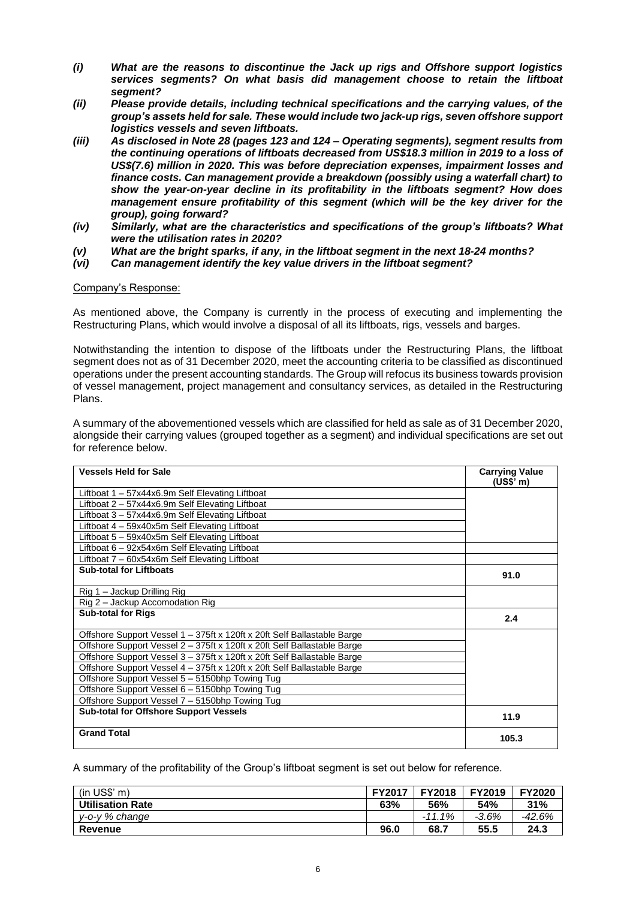- *(i) What are the reasons to discontinue the Jack up rigs and Offshore support logistics services segments? On what basis did management choose to retain the liftboat segment?*
- *(ii) Please provide details, including technical specifications and the carrying values, of the group's assets held for sale. These would include two jack-up rigs, seven offshore support logistics vessels and seven liftboats.*
- *(iii) As disclosed in Note 28 (pages 123 and 124 – Operating segments), segment results from the continuing operations of liftboats decreased from US\$18.3 million in 2019 to a loss of US\$(7.6) million in 2020. This was before depreciation expenses, impairment losses and finance costs. Can management provide a breakdown (possibly using a waterfall chart) to show the year-on-year decline in its profitability in the liftboats segment? How does management ensure profitability of this segment (which will be the key driver for the group), going forward?*
- *(iv) Similarly, what are the characteristics and specifications of the group's liftboats? What were the utilisation rates in 2020?*
- *(v) What are the bright sparks, if any, in the liftboat segment in the next 18-24 months?*
- *(vi) Can management identify the key value drivers in the liftboat segment?*

### Company's Response:

As mentioned above, the Company is currently in the process of executing and implementing the Restructuring Plans, which would involve a disposal of all its liftboats, rigs, vessels and barges.

Notwithstanding the intention to dispose of the liftboats under the Restructuring Plans, the liftboat segment does not as of 31 December 2020, meet the accounting criteria to be classified as discontinued operations under the present accounting standards. The Group will refocus its business towards provision of vessel management, project management and consultancy services, as detailed in the Restructuring Plans.

A summary of the abovementioned vessels which are classified for held as sale as of 31 December 2020, alongside their carrying values (grouped together as a segment) and individual specifications are set out for reference below.

| <b>Vessels Held for Sale</b>                                            | <b>Carrying Value</b><br>(US\$' m) |
|-------------------------------------------------------------------------|------------------------------------|
| Liftboat 1 – 57x44x6.9m Self Elevating Liftboat                         |                                    |
| Liftboat 2 – 57x44x6.9m Self Elevating Liftboat                         |                                    |
| Liftboat 3 - 57x44x6.9m Self Elevating Liftboat                         |                                    |
| Liftboat 4 - 59x40x5m Self Elevating Liftboat                           |                                    |
| Liftboat 5 - 59x40x5m Self Elevating Liftboat                           |                                    |
| Liftboat 6 - 92x54x6m Self Elevating Liftboat                           |                                    |
| Liftboat 7 - 60x54x6m Self Elevating Liftboat                           |                                    |
| <b>Sub-total for Liftboats</b>                                          | 91.0                               |
| Rig 1 – Jackup Drilling Rig                                             |                                    |
| Rig 2 - Jackup Accomodation Rig                                         |                                    |
| <b>Sub-total for Rigs</b>                                               | 2.4                                |
| Offshore Support Vessel 1 – 375ft x 120ft x 20ft Self Ballastable Barge |                                    |
| Offshore Support Vessel 2 - 375ft x 120ft x 20ft Self Ballastable Barge |                                    |
| Offshore Support Vessel 3 - 375ft x 120ft x 20ft Self Ballastable Barge |                                    |
| Offshore Support Vessel 4 - 375ft x 120ft x 20ft Self Ballastable Barge |                                    |
| Offshore Support Vessel 5 - 5150bhp Towing Tug                          |                                    |
| Offshore Support Vessel 6 - 5150bhp Towing Tug                          |                                    |
| Offshore Support Vessel 7 - 5150bhp Towing Tug                          |                                    |
| <b>Sub-total for Offshore Support Vessels</b>                           | 11.9                               |
| <b>Grand Total</b>                                                      | 105.3                              |

A summary of the profitability of the Group's liftboat segment is set out below for reference.

|                         | <b>FY2017</b> | <b>FY2018</b>   | <b>FY2019</b> | <b>FY2020</b> |
|-------------------------|---------------|-----------------|---------------|---------------|
| <b>Utilisation Rate</b> | 63%           | 56%             | 54%           | 31%           |
| v-o-v % change          |               | $1\%$<br>$-11.$ | $-3.6%$       | -42.6%        |
| Revenue                 | 96.0          | 68.7            | 55.5          | 24.3          |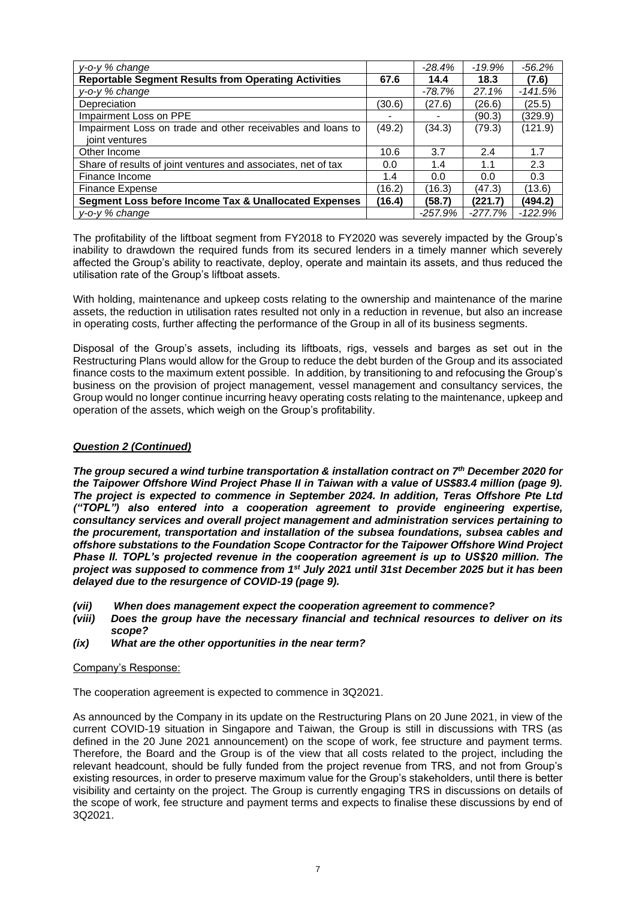| $v$ -o- $v$ % change                                             |        | $-28.4\%$ | $-19.9%$  | $-56.2%$  |
|------------------------------------------------------------------|--------|-----------|-----------|-----------|
| <b>Reportable Segment Results from Operating Activities</b>      |        | 14.4      | 18.3      | (7.6)     |
| y-o-y % change                                                   |        | -78.7%    | 27.1%     | $-141.5%$ |
| Depreciation                                                     | (30.6) | (27.6)    | (26.6)    | (25.5)    |
| Impairment Loss on PPE                                           |        |           | (90.3)    | (329.9)   |
| Impairment Loss on trade and other receivables and loans to      | (49.2) | (34.3)    | (79.3)    | (121.9)   |
| joint ventures                                                   |        |           |           |           |
| Other Income                                                     | 10.6   | 3.7       | 2.4       | 1.7       |
| Share of results of joint ventures and associates, net of tax    | 0.0    | 1.4       | 1.1       | 2.3       |
| Finance Income                                                   | 1.4    | 0.0       | 0.0       | 0.3       |
| <b>Finance Expense</b>                                           | (16.2) | (16.3)    | (47.3)    | (13.6)    |
| <b>Segment Loss before Income Tax &amp; Unallocated Expenses</b> | (16.4) | (58.7)    | (221.7)   | (494.2)   |
| $y$ -o- $y$ % change                                             |        | $-257.9%$ | $-277.7%$ | $-122.9%$ |

The profitability of the liftboat segment from FY2018 to FY2020 was severely impacted by the Group's inability to drawdown the required funds from its secured lenders in a timely manner which severely affected the Group's ability to reactivate, deploy, operate and maintain its assets, and thus reduced the utilisation rate of the Group's liftboat assets.

With holding, maintenance and upkeep costs relating to the ownership and maintenance of the marine assets, the reduction in utilisation rates resulted not only in a reduction in revenue, but also an increase in operating costs, further affecting the performance of the Group in all of its business segments.

Disposal of the Group's assets, including its liftboats, rigs, vessels and barges as set out in the Restructuring Plans would allow for the Group to reduce the debt burden of the Group and its associated finance costs to the maximum extent possible. In addition, by transitioning to and refocusing the Group's business on the provision of project management, vessel management and consultancy services, the Group would no longer continue incurring heavy operating costs relating to the maintenance, upkeep and operation of the assets, which weigh on the Group's profitability.

### *Question 2 (Continued)*

*The group secured a wind turbine transportation & installation contract on 7th December 2020 for the Taipower Offshore Wind Project Phase II in Taiwan with a value of US\$83.4 million (page 9). The project is expected to commence in September 2024. In addition, Teras Offshore Pte Ltd ("TOPL") also entered into a cooperation agreement to provide engineering expertise, consultancy services and overall project management and administration services pertaining to the procurement, transportation and installation of the subsea foundations, subsea cables and offshore substations to the Foundation Scope Contractor for the Taipower Offshore Wind Project Phase II. TOPL's projected revenue in the cooperation agreement is up to US\$20 million. The project was supposed to commence from 1st July 2021 until 31st December 2025 but it has been delayed due to the resurgence of COVID-19 (page 9).*

- *(vii) When does management expect the cooperation agreement to commence?*
- *(viii) Does the group have the necessary financial and technical resources to deliver on its scope?*
- *(ix) What are the other opportunities in the near term?*

#### Company's Response:

The cooperation agreement is expected to commence in 3Q2021.

As announced by the Company in its update on the Restructuring Plans on 20 June 2021, in view of the current COVID-19 situation in Singapore and Taiwan, the Group is still in discussions with TRS (as defined in the 20 June 2021 announcement) on the scope of work, fee structure and payment terms. Therefore, the Board and the Group is of the view that all costs related to the project, including the relevant headcount, should be fully funded from the project revenue from TRS, and not from Group's existing resources, in order to preserve maximum value for the Group's stakeholders, until there is better visibility and certainty on the project. The Group is currently engaging TRS in discussions on details of the scope of work, fee structure and payment terms and expects to finalise these discussions by end of 3Q2021.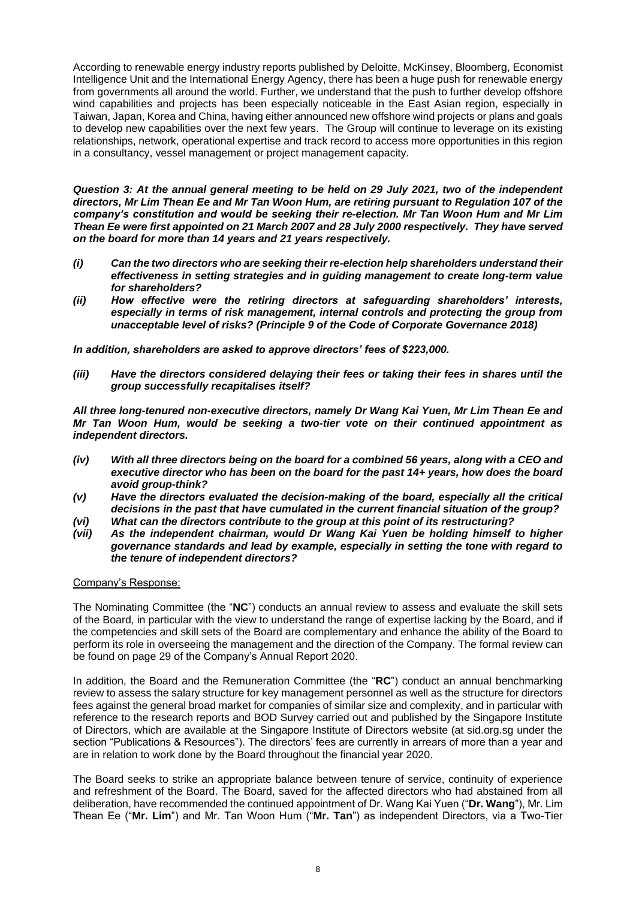According to renewable energy industry reports published by Deloitte, McKinsey, Bloomberg, Economist Intelligence Unit and the International Energy Agency, there has been a huge push for renewable energy from governments all around the world. Further, we understand that the push to further develop offshore wind capabilities and projects has been especially noticeable in the East Asian region, especially in Taiwan, Japan, Korea and China, having either announced new offshore wind projects or plans and goals to develop new capabilities over the next few years. The Group will continue to leverage on its existing relationships, network, operational expertise and track record to access more opportunities in this region in a consultancy, vessel management or project management capacity.

*Question 3: At the annual general meeting to be held on 29 July 2021, two of the independent directors, Mr Lim Thean Ee and Mr Tan Woon Hum, are retiring pursuant to Regulation 107 of the company's constitution and would be seeking their re-election. Mr Tan Woon Hum and Mr Lim Thean Ee were first appointed on 21 March 2007 and 28 July 2000 respectively. They have served on the board for more than 14 years and 21 years respectively.*

- *(i) Can the two directors who are seeking their re-election help shareholders understand their effectiveness in setting strategies and in guiding management to create long-term value for shareholders?*
- *(ii) How effective were the retiring directors at safeguarding shareholders' interests, especially in terms of risk management, internal controls and protecting the group from unacceptable level of risks? (Principle 9 of the Code of Corporate Governance 2018)*

*In addition, shareholders are asked to approve directors' fees of \$223,000.*

*(iii) Have the directors considered delaying their fees or taking their fees in shares until the group successfully recapitalises itself?*

*All three long-tenured non-executive directors, namely Dr Wang Kai Yuen, Mr Lim Thean Ee and Mr Tan Woon Hum, would be seeking a two-tier vote on their continued appointment as independent directors.*

- *(iv) With all three directors being on the board for a combined 56 years, along with a CEO and executive director who has been on the board for the past 14+ years, how does the board avoid group-think?*
- *(v) Have the directors evaluated the decision-making of the board, especially all the critical decisions in the past that have cumulated in the current financial situation of the group?*
- *(vi) What can the directors contribute to the group at this point of its restructuring?*
- *(vii) As the independent chairman, would Dr Wang Kai Yuen be holding himself to higher governance standards and lead by example, especially in setting the tone with regard to the tenure of independent directors?*

## Company's Response:

The Nominating Committee (the "**NC**") conducts an annual review to assess and evaluate the skill sets of the Board, in particular with the view to understand the range of expertise lacking by the Board, and if the competencies and skill sets of the Board are complementary and enhance the ability of the Board to perform its role in overseeing the management and the direction of the Company. The formal review can be found on page 29 of the Company's Annual Report 2020.

In addition, the Board and the Remuneration Committee (the "**RC**") conduct an annual benchmarking review to assess the salary structure for key management personnel as well as the structure for directors fees against the general broad market for companies of similar size and complexity, and in particular with reference to the research reports and BOD Survey carried out and published by the Singapore Institute of Directors, which are available at the Singapore Institute of Directors website (at sid.org.sg under the section "Publications & Resources"). The directors' fees are currently in arrears of more than a year and are in relation to work done by the Board throughout the financial year 2020.

The Board seeks to strike an appropriate balance between tenure of service, continuity of experience and refreshment of the Board. The Board, saved for the affected directors who had abstained from all deliberation, have recommended the continued appointment of Dr. Wang Kai Yuen ("**Dr. Wang**"), Mr. Lim Thean Ee ("**Mr. Lim**") and Mr. Tan Woon Hum ("**Mr. Tan**") as independent Directors, via a Two-Tier